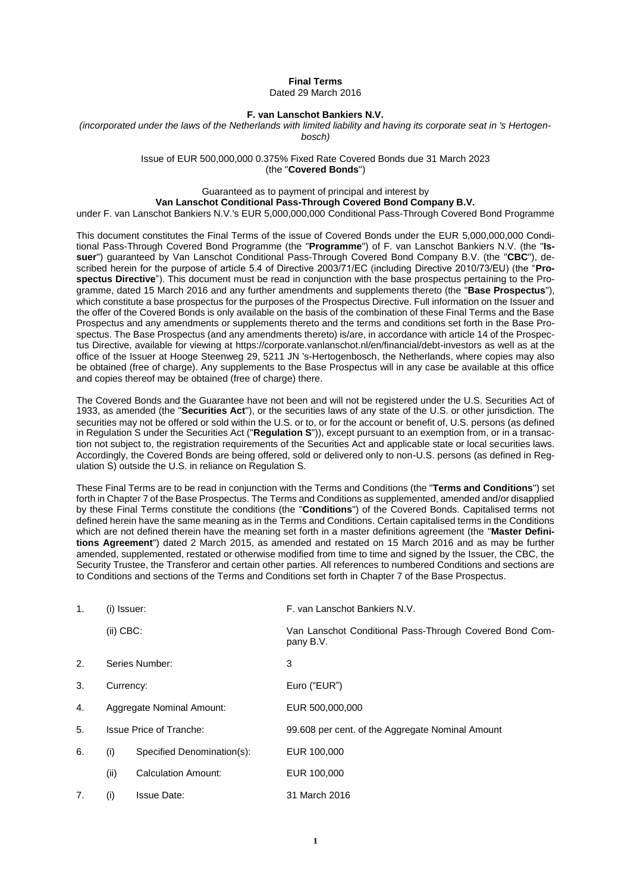### **Final Terms** Dated 29 March 2016

### **F. van Lanschot Bankiers N.V.**

*(incorporated under the laws of the Netherlands with limited liability and having its corporate seat in 's Hertogenbosch)*

> Issue of EUR 500,000,000 0.375% Fixed Rate Covered Bonds due 31 March 2023 (the "**Covered Bonds**")

# Guaranteed as to payment of principal and interest by

**Van Lanschot Conditional Pass-Through Covered Bond Company B.V.**

under F. van Lanschot Bankiers N.V.'s EUR 5,000,000,000 Conditional Pass-Through Covered Bond Programme

This document constitutes the Final Terms of the issue of Covered Bonds under the EUR 5,000,000,000 Conditional Pass-Through Covered Bond Programme (the "**Programme**") of F. van Lanschot Bankiers N.V. (the "**Issuer**") guaranteed by Van Lanschot Conditional Pass-Through Covered Bond Company B.V. (the "**CBC**"), described herein for the purpose of article 5.4 of Directive 2003/71/EC (including Directive 2010/73/EU) (the "**Prospectus Directive**"). This document must be read in conjunction with the base prospectus pertaining to the Programme, dated 15 March 2016 and any further amendments and supplements thereto (the "**Base Prospectus**"), which constitute a base prospectus for the purposes of the Prospectus Directive. Full information on the Issuer and the offer of the Covered Bonds is only available on the basis of the combination of these Final Terms and the Base Prospectus and any amendments or supplements thereto and the terms and conditions set forth in the Base Prospectus. The Base Prospectus (and any amendments thereto) is/are, in accordance with article 14 of the Prospectus Directive, available for viewing at https://corporate.vanlanschot.nl/en/financial/debt-investors as well as at the office of the Issuer at Hooge Steenweg 29, 5211 JN 's-Hertogenbosch, the Netherlands, where copies may also be obtained (free of charge). Any supplements to the Base Prospectus will in any case be available at this office and copies thereof may be obtained (free of charge) there.

The Covered Bonds and the Guarantee have not been and will not be registered under the U.S. Securities Act of 1933, as amended (the "**Securities Act**"), or the securities laws of any state of the U.S. or other jurisdiction. The securities may not be offered or sold within the U.S. or to, or for the account or benefit of, U.S. persons (as defined in Regulation S under the Securities Act ("**Regulation S**")), except pursuant to an exemption from, or in a transaction not subject to, the registration requirements of the Securities Act and applicable state or local securities laws. Accordingly, the Covered Bonds are being offered, sold or delivered only to non-U.S. persons (as defined in Regulation S) outside the U.S. in reliance on Regulation S.

These Final Terms are to be read in conjunction with the Terms and Conditions (the "**Terms and Conditions**") set forth in Chapter 7 of the Base Prospectus. The Terms and Conditions as supplemented, amended and/or disapplied by these Final Terms constitute the conditions (the "**Conditions**") of the Covered Bonds. Capitalised terms not defined herein have the same meaning as in the Terms and Conditions. Certain capitalised terms in the Conditions which are not defined therein have the meaning set forth in a master definitions agreement (the "**Master Definitions Agreement**") dated 2 March 2015, as amended and restated on 15 March 2016 and as may be further amended, supplemented, restated or otherwise modified from time to time and signed by the Issuer, the CBC, the Security Trustee, the Transferor and certain other parties. All references to numbered Conditions and sections are to Conditions and sections of the Terms and Conditions set forth in Chapter 7 of the Base Prospectus.

| 1.<br>(i) Issuer: |             |                                | F. van Lanschot Bankiers N.V.                                        |
|-------------------|-------------|--------------------------------|----------------------------------------------------------------------|
|                   | $(ii)$ CBC: |                                | Van Lanschot Conditional Pass-Through Covered Bond Com-<br>pany B.V. |
| 2.                |             | Series Number:                 | 3                                                                    |
| 3.                |             | Currency:                      | Euro ("EUR")                                                         |
| 4.                |             | Aggregate Nominal Amount:      | EUR 500,000,000                                                      |
| 5.                |             | <b>Issue Price of Tranche:</b> | 99.608 per cent. of the Aggregate Nominal Amount                     |
| 6.                | (i)         | Specified Denomination(s):     | EUR 100,000                                                          |
|                   | (ii)        | <b>Calculation Amount:</b>     | EUR 100,000                                                          |
| 7.                | (i)         | <b>Issue Date:</b>             | 31 March 2016                                                        |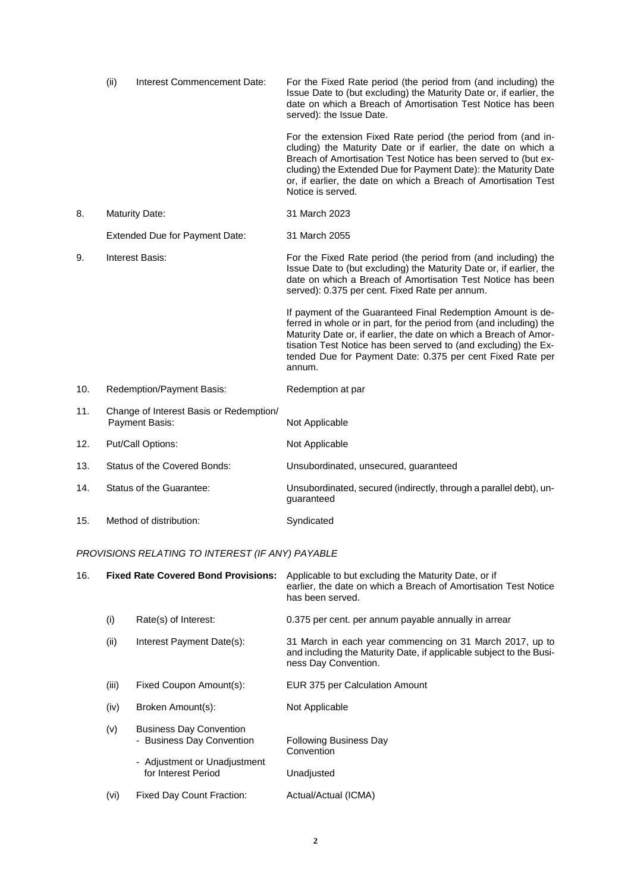|     | (ii) | Interest Commencement Date:                               | For the Fixed Rate period (the period from (and including) the<br>Issue Date to (but excluding) the Maturity Date or, if earlier, the<br>date on which a Breach of Amortisation Test Notice has been<br>served): the Issue Date.                                                                                                                           |
|-----|------|-----------------------------------------------------------|------------------------------------------------------------------------------------------------------------------------------------------------------------------------------------------------------------------------------------------------------------------------------------------------------------------------------------------------------------|
|     |      |                                                           | For the extension Fixed Rate period (the period from (and in-<br>cluding) the Maturity Date or if earlier, the date on which a<br>Breach of Amortisation Test Notice has been served to (but ex-<br>cluding) the Extended Due for Payment Date): the Maturity Date<br>or, if earlier, the date on which a Breach of Amortisation Test<br>Notice is served. |
| 8.  |      | <b>Maturity Date:</b>                                     | 31 March 2023                                                                                                                                                                                                                                                                                                                                              |
|     |      | Extended Due for Payment Date:                            | 31 March 2055                                                                                                                                                                                                                                                                                                                                              |
| 9.  |      | <b>Interest Basis:</b>                                    | For the Fixed Rate period (the period from (and including) the<br>Issue Date to (but excluding) the Maturity Date or, if earlier, the<br>date on which a Breach of Amortisation Test Notice has been<br>served): 0.375 per cent. Fixed Rate per annum.                                                                                                     |
|     |      |                                                           | If payment of the Guaranteed Final Redemption Amount is de-<br>ferred in whole or in part, for the period from (and including) the<br>Maturity Date or, if earlier, the date on which a Breach of Amor-<br>tisation Test Notice has been served to (and excluding) the Ex-<br>tended Due for Payment Date: 0.375 per cent Fixed Rate per<br>annum.         |
| 10. |      | Redemption/Payment Basis:                                 | Redemption at par                                                                                                                                                                                                                                                                                                                                          |
| 11. |      | Change of Interest Basis or Redemption/<br>Payment Basis: | Not Applicable                                                                                                                                                                                                                                                                                                                                             |
| 12. |      | Put/Call Options:                                         | Not Applicable                                                                                                                                                                                                                                                                                                                                             |
| 13. |      | <b>Status of the Covered Bonds:</b>                       | Unsubordinated, unsecured, guaranteed                                                                                                                                                                                                                                                                                                                      |
| 14. |      | Status of the Guarantee:                                  | Unsubordinated, secured (indirectly, through a parallel debt), un-<br>guaranteed                                                                                                                                                                                                                                                                           |
| 15. |      | Method of distribution:                                   | Syndicated                                                                                                                                                                                                                                                                                                                                                 |

# *PROVISIONS RELATING TO INTEREST (IF ANY) PAYABLE*

| 16. |       | <b>Fixed Rate Covered Bond Provisions:</b>                                                                         | Applicable to but excluding the Maturity Date, or if<br>earlier, the date on which a Breach of Amortisation Test Notice<br>has been served.             |
|-----|-------|--------------------------------------------------------------------------------------------------------------------|---------------------------------------------------------------------------------------------------------------------------------------------------------|
|     | (i)   | Rate(s) of Interest:                                                                                               | 0.375 per cent. per annum payable annually in arrear                                                                                                    |
|     | (ii)  | Interest Payment Date(s):                                                                                          | 31 March in each year commencing on 31 March 2017, up to<br>and including the Maturity Date, if applicable subject to the Busi-<br>ness Day Convention. |
|     | (iii) | Fixed Coupon Amount(s):                                                                                            | EUR 375 per Calculation Amount                                                                                                                          |
|     | (iv)  | Broken Amount(s):                                                                                                  | Not Applicable                                                                                                                                          |
|     | (v)   | <b>Business Day Convention</b><br>- Business Day Convention<br>- Adjustment or Unadjustment<br>for Interest Period | <b>Following Business Day</b><br>Convention<br>Unadjusted                                                                                               |
|     | (vi)  | <b>Fixed Day Count Fraction:</b>                                                                                   | Actual/Actual (ICMA)                                                                                                                                    |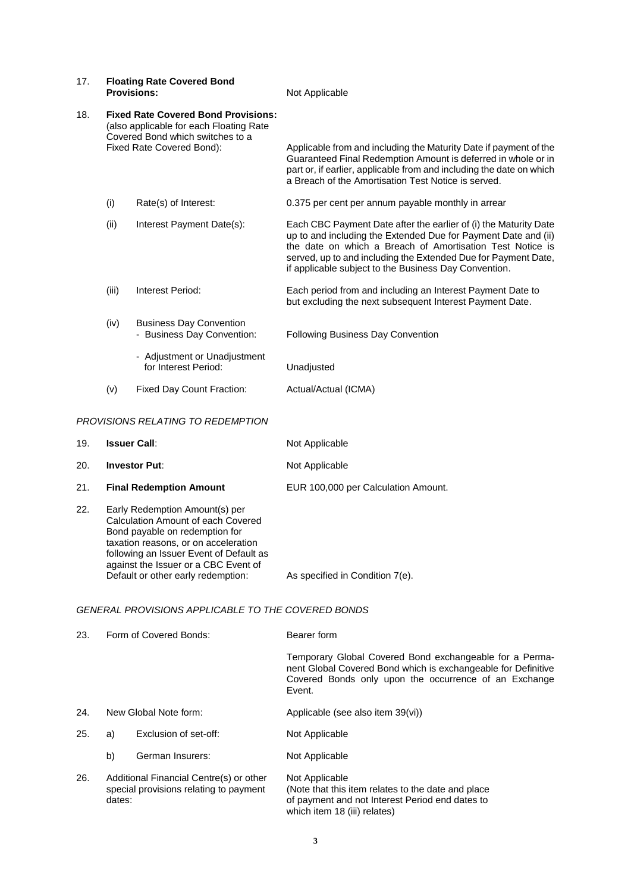| 17. |       | <b>Floating Rate Covered Bond</b><br><b>Provisions:</b>                                                                                                | Not Applicable                                                                                                                                                                                                                                                                                                             |
|-----|-------|--------------------------------------------------------------------------------------------------------------------------------------------------------|----------------------------------------------------------------------------------------------------------------------------------------------------------------------------------------------------------------------------------------------------------------------------------------------------------------------------|
| 18. |       | <b>Fixed Rate Covered Bond Provisions:</b><br>(also applicable for each Floating Rate<br>Covered Bond which switches to a<br>Fixed Rate Covered Bond): | Applicable from and including the Maturity Date if payment of the<br>Guaranteed Final Redemption Amount is deferred in whole or in<br>part or, if earlier, applicable from and including the date on which<br>a Breach of the Amortisation Test Notice is served.                                                          |
|     | (i)   | Rate(s) of Interest:                                                                                                                                   | 0.375 per cent per annum payable monthly in arrear                                                                                                                                                                                                                                                                         |
|     | (ii)  | Interest Payment Date(s):                                                                                                                              | Each CBC Payment Date after the earlier of (i) the Maturity Date<br>up to and including the Extended Due for Payment Date and (ii)<br>the date on which a Breach of Amortisation Test Notice is<br>served, up to and including the Extended Due for Payment Date,<br>if applicable subject to the Business Day Convention. |
|     | (iii) | Interest Period:                                                                                                                                       | Each period from and including an Interest Payment Date to<br>but excluding the next subsequent Interest Payment Date.                                                                                                                                                                                                     |
|     | (iv)  | <b>Business Day Convention</b><br>- Business Day Convention:<br>- Adjustment or Unadjustment                                                           | <b>Following Business Day Convention</b>                                                                                                                                                                                                                                                                                   |
|     |       | for Interest Period:                                                                                                                                   | Unadjusted                                                                                                                                                                                                                                                                                                                 |
|     | (v)   | <b>Fixed Day Count Fraction:</b>                                                                                                                       | Actual/Actual (ICMA)                                                                                                                                                                                                                                                                                                       |
|     |       | <b>DOOUCLONS DELATING TO DEDEMOTION</b>                                                                                                                |                                                                                                                                                                                                                                                                                                                            |

## *PROVISIONS RELATING TO REDEMPTION*

| 19. | <b>Issuer Call:</b>                                                                                                                                                                                                               | Not Applicable                      |
|-----|-----------------------------------------------------------------------------------------------------------------------------------------------------------------------------------------------------------------------------------|-------------------------------------|
| 20. | <b>Investor Put:</b>                                                                                                                                                                                                              | Not Applicable                      |
| 21. | <b>Final Redemption Amount</b>                                                                                                                                                                                                    | EUR 100,000 per Calculation Amount. |
| 22. | Early Redemption Amount(s) per<br>Calculation Amount of each Covered<br>Bond payable on redemption for<br>taxation reasons, or on acceleration<br>following an Issuer Event of Default as<br>against the Issuer or a CBC Event of |                                     |

Default or other early redemption: As specified in Condition 7(e).

# *GENERAL PROVISIONS APPLICABLE TO THE COVERED BONDS*

| 23. | Form of Covered Bonds:                                                                      |                       | Bearer form                                                                                                                                                                                 |  |
|-----|---------------------------------------------------------------------------------------------|-----------------------|---------------------------------------------------------------------------------------------------------------------------------------------------------------------------------------------|--|
|     |                                                                                             |                       | Temporary Global Covered Bond exchangeable for a Perma-<br>nent Global Covered Bond which is exchangeable for Definitive<br>Covered Bonds only upon the occurrence of an Exchange<br>Event. |  |
| 24. |                                                                                             | New Global Note form: | Applicable (see also item 39(vi))                                                                                                                                                           |  |
| 25. | a)                                                                                          | Exclusion of set-off: | Not Applicable                                                                                                                                                                              |  |
|     | b)                                                                                          | German Insurers:      | Not Applicable                                                                                                                                                                              |  |
| 26. | Additional Financial Centre(s) or other<br>special provisions relating to payment<br>dates: |                       | Not Applicable<br>(Note that this item relates to the date and place)<br>of payment and not Interest Period end dates to                                                                    |  |

which item 18 (iii) relates)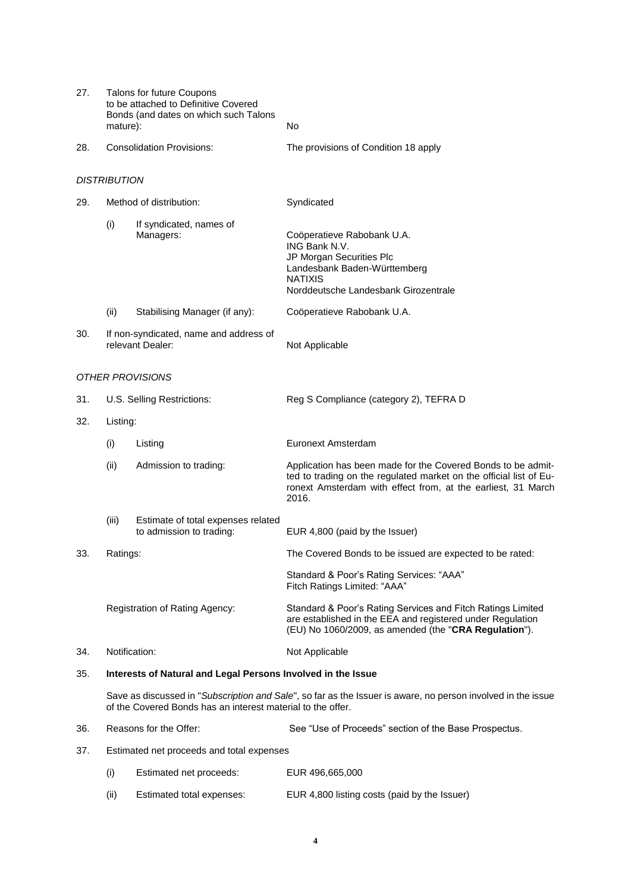| 27. | <b>Talons for future Coupons</b><br>to be attached to Definitive Covered<br>Bonds (and dates on which such Talons<br>mature):                                               |                                                                | No                                                                                                                                                                                                          |  |
|-----|-----------------------------------------------------------------------------------------------------------------------------------------------------------------------------|----------------------------------------------------------------|-------------------------------------------------------------------------------------------------------------------------------------------------------------------------------------------------------------|--|
| 28. | <b>Consolidation Provisions:</b>                                                                                                                                            |                                                                | The provisions of Condition 18 apply                                                                                                                                                                        |  |
|     | <b>DISTRIBUTION</b>                                                                                                                                                         |                                                                |                                                                                                                                                                                                             |  |
| 29. |                                                                                                                                                                             | Method of distribution:                                        | Syndicated                                                                                                                                                                                                  |  |
|     | (i)                                                                                                                                                                         | If syndicated, names of<br>Managers:                           | Coöperatieve Rabobank U.A.<br>ING Bank N.V.<br>JP Morgan Securities Plc<br>Landesbank Baden-Württemberg<br><b>NATIXIS</b><br>Norddeutsche Landesbank Girozentrale                                           |  |
|     | (ii)                                                                                                                                                                        | Stabilising Manager (if any):                                  | Coöperatieve Rabobank U.A.                                                                                                                                                                                  |  |
| 30. |                                                                                                                                                                             | If non-syndicated, name and address of<br>relevant Dealer:     | Not Applicable                                                                                                                                                                                              |  |
|     | OTHER PROVISIONS                                                                                                                                                            |                                                                |                                                                                                                                                                                                             |  |
| 31. |                                                                                                                                                                             | U.S. Selling Restrictions:                                     | Reg S Compliance (category 2), TEFRA D                                                                                                                                                                      |  |
| 32. | Listing:                                                                                                                                                                    |                                                                |                                                                                                                                                                                                             |  |
|     | (i)                                                                                                                                                                         | Listing                                                        | Euronext Amsterdam                                                                                                                                                                                          |  |
|     | (ii)                                                                                                                                                                        | Admission to trading:                                          | Application has been made for the Covered Bonds to be admit-<br>ted to trading on the regulated market on the official list of Eu-<br>ronext Amsterdam with effect from, at the earliest, 31 March<br>2016. |  |
|     | (iii)                                                                                                                                                                       | Estimate of total expenses related<br>to admission to trading: | EUR 4,800 (paid by the Issuer)                                                                                                                                                                              |  |
| 33. | Ratings:                                                                                                                                                                    |                                                                | The Covered Bonds to be issued are expected to be rated:                                                                                                                                                    |  |
|     | Registration of Rating Agency:                                                                                                                                              |                                                                | Standard & Poor's Rating Services: "AAA"<br>Fitch Ratings Limited: "AAA"                                                                                                                                    |  |
|     |                                                                                                                                                                             |                                                                | Standard & Poor's Rating Services and Fitch Ratings Limited<br>are established in the EEA and registered under Regulation<br>(EU) No 1060/2009, as amended (the "CRA Regulation").                          |  |
| 34. | Notification:                                                                                                                                                               |                                                                | Not Applicable                                                                                                                                                                                              |  |
| 35. | Interests of Natural and Legal Persons Involved in the Issue                                                                                                                |                                                                |                                                                                                                                                                                                             |  |
|     | Save as discussed in "Subscription and Sale", so far as the Issuer is aware, no person involved in the issue<br>of the Covered Bonds has an interest material to the offer. |                                                                |                                                                                                                                                                                                             |  |
| 36. |                                                                                                                                                                             | Reasons for the Offer:                                         | See "Use of Proceeds" section of the Base Prospectus.                                                                                                                                                       |  |
| 37. |                                                                                                                                                                             | Estimated net proceeds and total expenses                      |                                                                                                                                                                                                             |  |
|     | (i)                                                                                                                                                                         | Estimated net proceeds:                                        | EUR 496,665,000                                                                                                                                                                                             |  |

(ii) Estimated total expenses: EUR 4,800 listing costs (paid by the Issuer)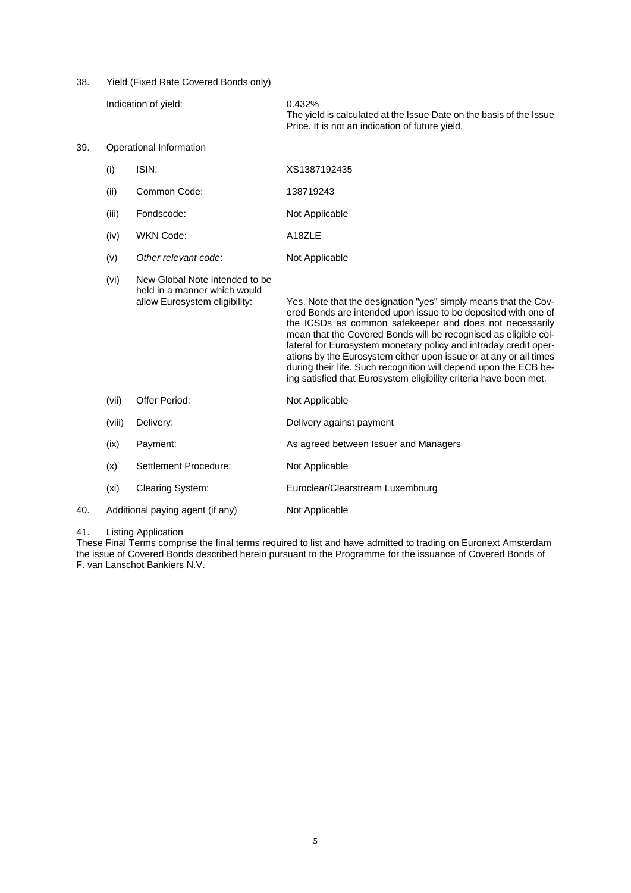38. Yield (Fixed Rate Covered Bonds only)

|     | Indication of yield:    |                                                                                                 | 0.432%<br>The yield is calculated at the Issue Date on the basis of the Issue<br>Price. It is not an indication of future yield.                                                                                                                                                                                                                                                                                                                                                                                                                  |
|-----|-------------------------|-------------------------------------------------------------------------------------------------|---------------------------------------------------------------------------------------------------------------------------------------------------------------------------------------------------------------------------------------------------------------------------------------------------------------------------------------------------------------------------------------------------------------------------------------------------------------------------------------------------------------------------------------------------|
| 39. | Operational Information |                                                                                                 |                                                                                                                                                                                                                                                                                                                                                                                                                                                                                                                                                   |
|     | (i)                     | ISIN:                                                                                           | XS1387192435                                                                                                                                                                                                                                                                                                                                                                                                                                                                                                                                      |
|     | (ii)                    | Common Code:                                                                                    | 138719243                                                                                                                                                                                                                                                                                                                                                                                                                                                                                                                                         |
|     | (iii)                   | Fondscode:                                                                                      | Not Applicable                                                                                                                                                                                                                                                                                                                                                                                                                                                                                                                                    |
|     | (iv)                    | <b>WKN Code:</b>                                                                                | A18ZLE                                                                                                                                                                                                                                                                                                                                                                                                                                                                                                                                            |
|     | (v)                     | Other relevant code:                                                                            | Not Applicable                                                                                                                                                                                                                                                                                                                                                                                                                                                                                                                                    |
|     | (vi)                    | New Global Note intended to be<br>held in a manner which would<br>allow Eurosystem eligibility: | Yes. Note that the designation "yes" simply means that the Cov-<br>ered Bonds are intended upon issue to be deposited with one of<br>the ICSDs as common safekeeper and does not necessarily<br>mean that the Covered Bonds will be recognised as eligible col-<br>lateral for Eurosystem monetary policy and intraday credit oper-<br>ations by the Eurosystem either upon issue or at any or all times<br>during their life. Such recognition will depend upon the ECB be-<br>ing satisfied that Eurosystem eligibility criteria have been met. |
|     | (vii)                   | Offer Period:                                                                                   | Not Applicable                                                                                                                                                                                                                                                                                                                                                                                                                                                                                                                                    |
|     | (viii)                  | Delivery:                                                                                       | Delivery against payment                                                                                                                                                                                                                                                                                                                                                                                                                                                                                                                          |
|     | (ix)                    | Payment:                                                                                        | As agreed between Issuer and Managers                                                                                                                                                                                                                                                                                                                                                                                                                                                                                                             |
|     | (x)                     | Settlement Procedure:                                                                           | Not Applicable                                                                                                                                                                                                                                                                                                                                                                                                                                                                                                                                    |
|     | (xi)                    | <b>Clearing System:</b>                                                                         | Euroclear/Clearstream Luxembourg                                                                                                                                                                                                                                                                                                                                                                                                                                                                                                                  |
| 40. |                         | Additional paying agent (if any)                                                                | Not Applicable                                                                                                                                                                                                                                                                                                                                                                                                                                                                                                                                    |

### 41. Listing Application

These Final Terms comprise the final terms required to list and have admitted to trading on Euronext Amsterdam the issue of Covered Bonds described herein pursuant to the Programme for the issuance of Covered Bonds of F. van Lanschot Bankiers N.V.